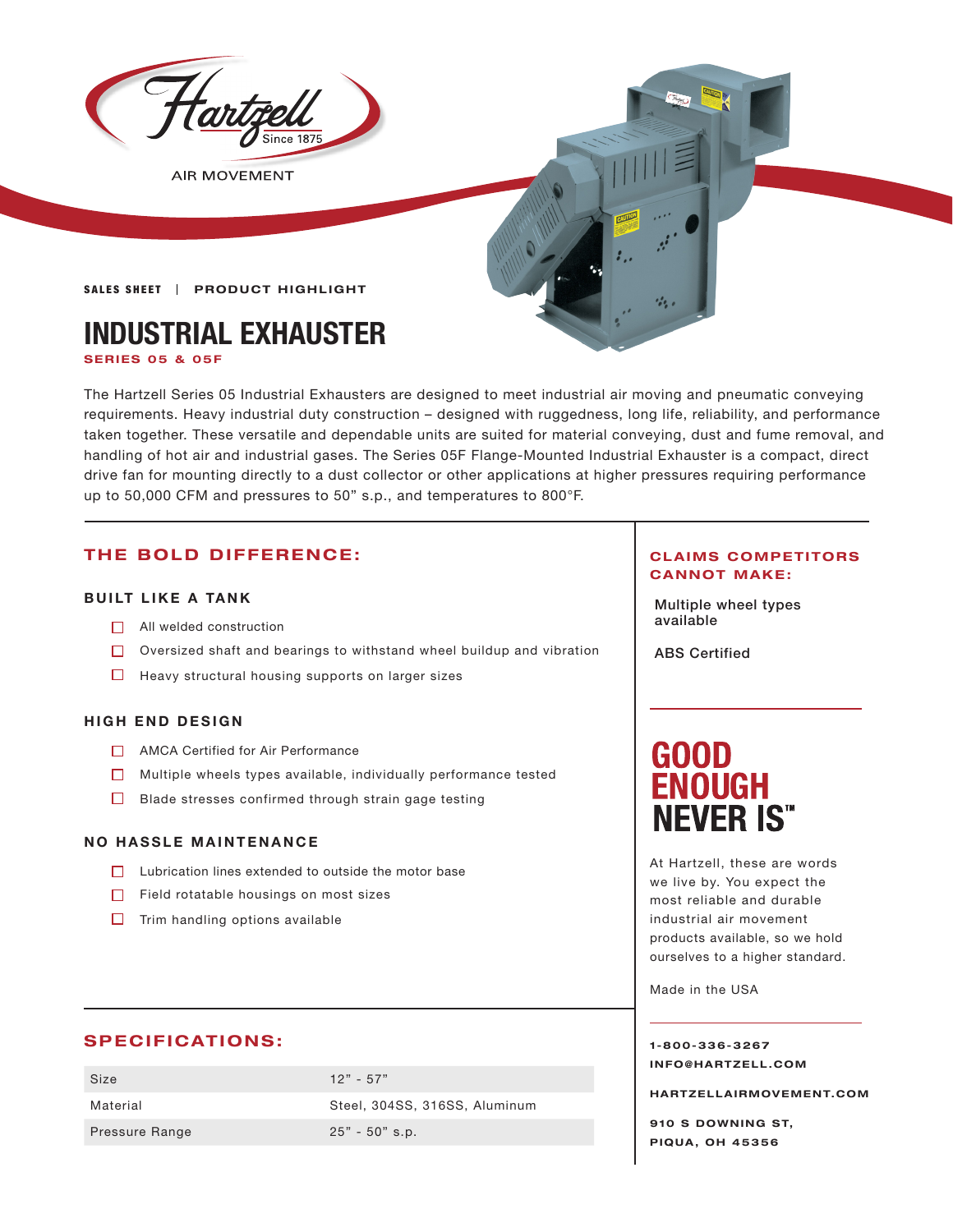

**AIR MOVEMENT** 

## **SALES SHEET | PRODUCT HIGHLIGHT**

# **INDUSTRIAL EXHAUSTER**

**SERIES 05 & 05F**

The Hartzell Series 05 Industrial Exhausters are designed to meet industrial air moving and pneumatic conveying requirements. Heavy industrial duty construction – designed with ruggedness, long life, reliability, and performance taken together. These versatile and dependable units are suited for material conveying, dust and fume removal, and handling of hot air and industrial gases. The Series 05F Flange-Mounted Industrial Exhauster is a compact, direct drive fan for mounting directly to a dust collector or other applications at higher pressures requiring performance up to 50,000 CFM and pressures to 50" s.p., and temperatures to 800°F.

# **THE BOLD DIFFERENCE:**

# **BUILT LIKE A TANK**

- $\Box$  All welded construction
- Oversized shaft and bearings to withstand wheel buildup and vibration
- $\Box$  Heavy structural housing supports on larger sizes

### **HIGH END DESIGN**

- AMCA Certified for Air Performance
- $\Box$  Multiple wheels types available, individually performance tested
- $\Box$  Blade stresses confirmed through strain gage testing

### **NO HASSLE MAINTENANCE**

- $\Box$  Lubrication lines extended to outside the motor base
- $\Box$  Field rotatable housings on most sizes
- $\Box$  Trim handling options available

# **SPECIFICATIONS:**

| Size           | $12" - 57"$                   |
|----------------|-------------------------------|
| Material       | Steel, 304SS, 316SS, Aluminum |
| Pressure Range | $25" - 50"$ s.p.              |

### **CLAIMS COMPETITORS CANNOT MAKE:**

Multiple wheel types

ABS Certified

# **GOOD ENOUGH NEVER IS"**

At Hartzell, these are words we live by. You expect the most reliable and durable industrial air movement products available, so we hold ourselves to a higher standard.

Made in the USA

**1-800-336-3267 I N F O @ H A R T Z E L L . C OM** 

**HARTZELLA IRMOVEMENT.COM**

**910 S DOWNING ST, PIQUA, OH 45356**